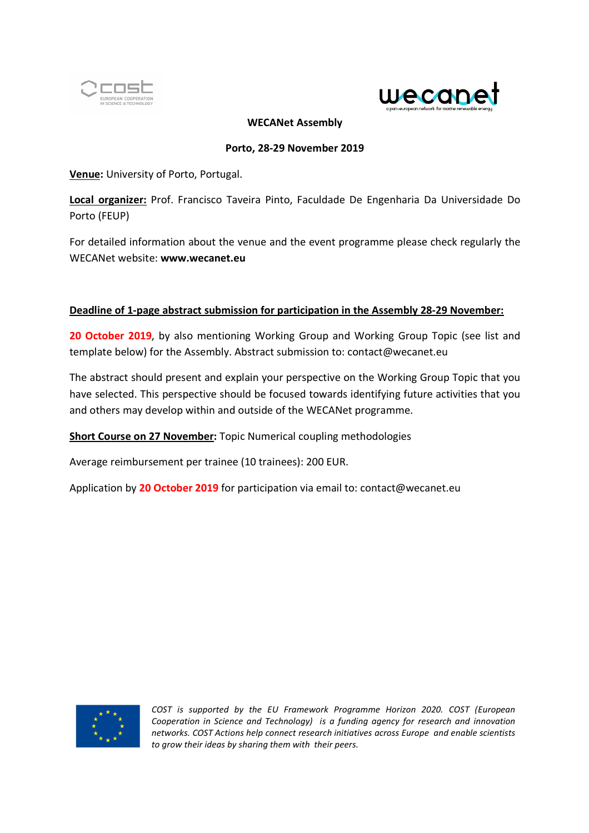



### **WECANet Assembly**

#### **Porto, 28-29 November 2019**

**Venue:** University of Porto, Portugal.

**Local organizer:** Prof. Francisco Taveira Pinto, Faculdade De Engenharia Da Universidade Do Porto (FEUP)

For detailed information about the venue and the event programme please check regularly the WECANet website: **www.wecanet.eu**

## **Deadline of 1-page abstract submission for participation in the Assembly 28-29 November:**

**20 October 2019**, by also mentioning Working Group and Working Group Topic (see list and template below) for the Assembly. Abstract submission to: contact@wecanet.eu

The abstract should present and explain your perspective on the Working Group Topic that you have selected. This perspective should be focused towards identifying future activities that you and others may develop within and outside of the WECANet programme.

**Short Course on 27 November:** Topic Numerical coupling methodologies

Average reimbursement per trainee (10 trainees): 200 EUR.

Application by **20 October 2019** for participation via email to: contact@wecanet.eu

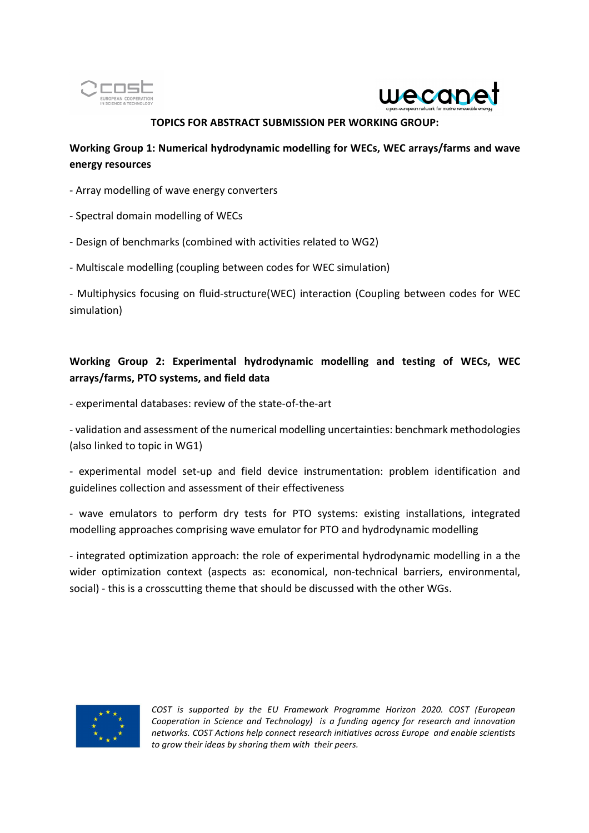



### **TOPICS FOR ABSTRACT SUBMISSION PER WORKING GROUP:**

## **Working Group 1: Numerical hydrodynamic modelling for WECs, WEC arrays/farms and wave energy resources**

- Array modelling of wave energy converters
- Spectral domain modelling of WECs
- Design of benchmarks (combined with activities related to WG2)
- Multiscale modelling (coupling between codes for WEC simulation)

- Multiphysics focusing on fluid-structure(WEC) interaction (Coupling between codes for WEC simulation)

# **Working Group 2: Experimental hydrodynamic modelling and testing of WECs, WEC arrays/farms, PTO systems, and field data**

- experimental databases: review of the state-of-the-art

- validation and assessment of the numerical modelling uncertainties: benchmark methodologies (also linked to topic in WG1)

- experimental model set-up and field device instrumentation: problem identification and guidelines collection and assessment of their effectiveness

- wave emulators to perform dry tests for PTO systems: existing installations, integrated modelling approaches comprising wave emulator for PTO and hydrodynamic modelling

- integrated optimization approach: the role of experimental hydrodynamic modelling in a the wider optimization context (aspects as: economical, non-technical barriers, environmental, social) - this is a crosscutting theme that should be discussed with the other WGs.

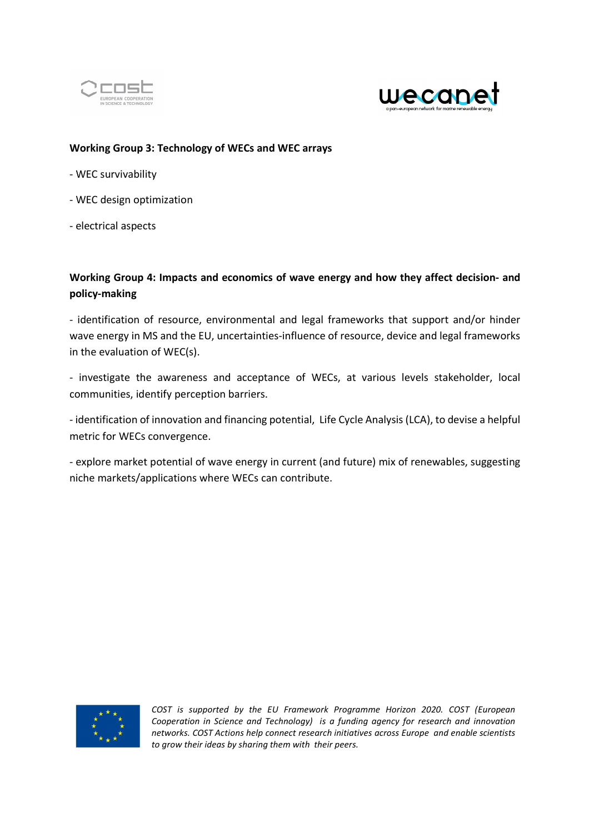



### **Working Group 3: Technology of WECs and WEC arrays**

- WEC survivability
- WEC design optimization
- electrical aspects

## **Working Group 4: Impacts and economics of wave energy and how they affect decision- and policy-making**

- identification of resource, environmental and legal frameworks that support and/or hinder wave energy in MS and the EU, uncertainties-influence of resource, device and legal frameworks in the evaluation of WEC(s).

- investigate the awareness and acceptance of WECs, at various levels stakeholder, local communities, identify perception barriers.

- identification of innovation and financing potential, Life Cycle Analysis (LCA), to devise a helpful metric for WECs convergence.

- explore market potential of wave energy in current (and future) mix of renewables, suggesting niche markets/applications where WECs can contribute.